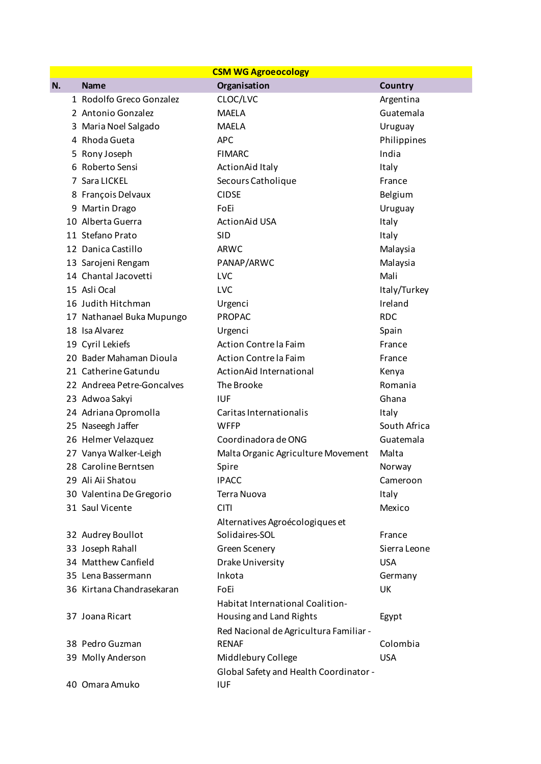| <b>CSM WG Agroeocology</b> |                            |                                        |                |  |  |  |
|----------------------------|----------------------------|----------------------------------------|----------------|--|--|--|
| N.                         | <b>Name</b>                | Organisation                           | <b>Country</b> |  |  |  |
|                            | 1 Rodolfo Greco Gonzalez   | CLOC/LVC                               | Argentina      |  |  |  |
|                            | 2 Antonio Gonzalez         | <b>MAELA</b>                           | Guatemala      |  |  |  |
|                            | 3 Maria Noel Salgado       | <b>MAELA</b>                           | Uruguay        |  |  |  |
|                            | 4 Rhoda Gueta              | <b>APC</b>                             | Philippines    |  |  |  |
|                            | 5 Rony Joseph              | <b>FIMARC</b>                          | India          |  |  |  |
|                            | 6 Roberto Sensi            | <b>ActionAid Italy</b>                 | Italy          |  |  |  |
|                            | 7 Sara LICKEL              | Secours Catholique                     | France         |  |  |  |
|                            | 8 François Delvaux         | <b>CIDSE</b>                           | Belgium        |  |  |  |
|                            | 9 Martin Drago             | FoEi                                   | Uruguay        |  |  |  |
|                            | 10 Alberta Guerra          | <b>ActionAid USA</b>                   | Italy          |  |  |  |
|                            | 11 Stefano Prato           | <b>SID</b>                             | Italy          |  |  |  |
|                            | 12 Danica Castillo         | <b>ARWC</b>                            | Malaysia       |  |  |  |
|                            | 13 Sarojeni Rengam         | PANAP/ARWC                             | Malaysia       |  |  |  |
|                            | 14 Chantal Jacovetti       | LVC                                    | Mali           |  |  |  |
|                            | 15 Asli Ocal               | LVC                                    | Italy/Turkey   |  |  |  |
|                            | 16 Judith Hitchman         | Urgenci                                | Ireland        |  |  |  |
|                            | 17 Nathanael Buka Mupungo  | <b>PROPAC</b>                          | <b>RDC</b>     |  |  |  |
|                            | 18 Isa Alvarez             | Urgenci                                | Spain          |  |  |  |
|                            | 19 Cyril Lekiefs           | Action Contre la Faim                  | France         |  |  |  |
|                            | 20 Bader Mahaman Dioula    | Action Contre la Faim                  | France         |  |  |  |
|                            | 21 Catherine Gatundu       | ActionAid International                | Kenya          |  |  |  |
|                            | 22 Andreea Petre-Goncalves | The Brooke                             | Romania        |  |  |  |
|                            | 23 Adwoa Sakyi             | <b>IUF</b>                             | Ghana          |  |  |  |
|                            | 24 Adriana Opromolla       | Caritas Internationalis                | Italy          |  |  |  |
|                            | 25 Naseegh Jaffer          | <b>WFFP</b>                            | South Africa   |  |  |  |
|                            | 26 Helmer Velazquez        | Coordinadora de ONG                    | Guatemala      |  |  |  |
|                            | 27 Vanya Walker-Leigh      | Malta Organic Agriculture Movement     | Malta          |  |  |  |
|                            | 28 Caroline Berntsen       | Spire                                  | Norway         |  |  |  |
|                            | 29 Ali Aii Shatou          | <b>IPACC</b>                           | Cameroon       |  |  |  |
|                            | 30 Valentina De Gregorio   | Terra Nuova                            | Italy          |  |  |  |
|                            | 31 Saul Vicente            | <b>CITI</b>                            | Mexico         |  |  |  |
|                            |                            | Alternatives Agroécologiques et        |                |  |  |  |
|                            | 32 Audrey Boullot          | Solidaires-SOL                         | France         |  |  |  |
|                            | 33 Joseph Rahall           | Green Scenery                          | Sierra Leone   |  |  |  |
|                            | 34 Matthew Canfield        | Drake University                       | <b>USA</b>     |  |  |  |
|                            | 35 Lena Bassermann         | Inkota                                 | Germany        |  |  |  |
|                            | 36 Kirtana Chandrasekaran  | FoEi                                   | UK             |  |  |  |
|                            |                            | Habitat International Coalition-       |                |  |  |  |
|                            | 37 Joana Ricart            | Housing and Land Rights                | Egypt          |  |  |  |
|                            |                            | Red Nacional de Agricultura Familiar - |                |  |  |  |
|                            | 38 Pedro Guzman            | <b>RENAF</b>                           | Colombia       |  |  |  |
|                            | 39 Molly Anderson          | Middlebury College                     | <b>USA</b>     |  |  |  |
|                            |                            | Global Safety and Health Coordinator - |                |  |  |  |
|                            | 40 Omara Amuko             | <b>IUF</b>                             |                |  |  |  |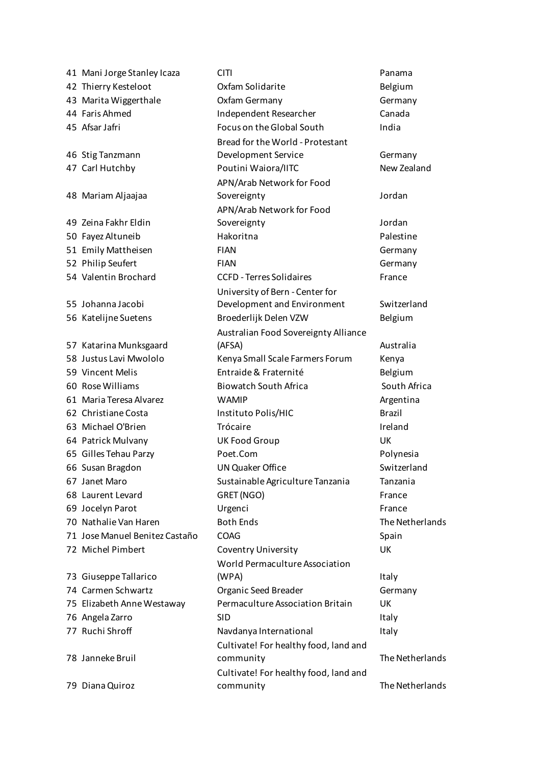Stig Tanzmann Mariam Aljaajaa Zeina Fakhr Eldin Johanna Jacobi Katarina Munksgaard Giuseppe Tallarico Janneke Bruil Diana Quiroz

41 Mani Jorge Stanley Icaza CITI Panama 42 Thierry Kesteloot Oxfam Solidarite Belgium 43 Marita Wiggerthale Oxfam Germany Germany 44 Faris Ahmed Independent Researcher Canada 45 Afsar Jafri Focus on the Global South India Bread for the World - Protestant Development Service Germany 47 Carl Hutchby Poutini Waiora/IITC New Zealand APN/Arab Network for Food Sovereignty **Sovereignty Jordan** APN/Arab Network for Food Sovereignty **Sovereignty Jordan** 50 Fayez Altuneib Hakoritna Palestine 51 Emily Mattheisen FIAN Germany 52 Philip Seufert FIAN Germany 54 Valentin Brochard CCFD - Terres Solidaires France University of Bern - Center for Development and Environment Switzerland 56 Katelijne Suetens Broederlijk Delen VZW Belgium Australian Food Sovereignty Alliance (AFSA) Australia 58 Justus Lavi Mwololo Kenya Small Scale Farmers Forum Kenya 59 Vincent Melis Entraide & Fraternité Belgium 60 Rose Williams Biowatch South Africa South Africa 61 Maria Teresa Alvarez WAMIP Argentina 62 Christiane Costa Instituto Polis/HIC Brazil 63 Michael O'Brien Trócaire Ireland 64 Patrick Mulvany UK Food Group UK 65 Gilles Tehau Parzy Poet.Com Polynesia 66 Susan Bragdon **UN Quaker Office** Switzerland 67 Janet Maro Sustainable Agriculture Tanzania Tanzania 68 Laurent Levard GRET (NGO) GRET (NGO) 69 Jocelyn Parot **Example 20 Urgenci Example 20 Inc.** France 70 Nathalie Van Haren Soth Ends The Netherlands The Netherlands 71 Jose Manuel Benitez Castaño COAG Spain 72 Michel Pimbert Coventry University UK World Permaculture Association (WPA) and the contract of the contract of the contract of the contract of the contract of the contract of the contract of the contract of the contract of the contract of the contract of the contract of the contract of the 74 Carmen Schwartz Organic Seed Breader Germany 75 Elizabeth Anne Westaway Permaculture Association Britain UK 76 Angela Zarro SID SID 77 Ruchi Shroff Navdanya International Italy Cultivate! For healthy food, land and community The Netherlands Cultivate! For healthy food, land and community The Netherlands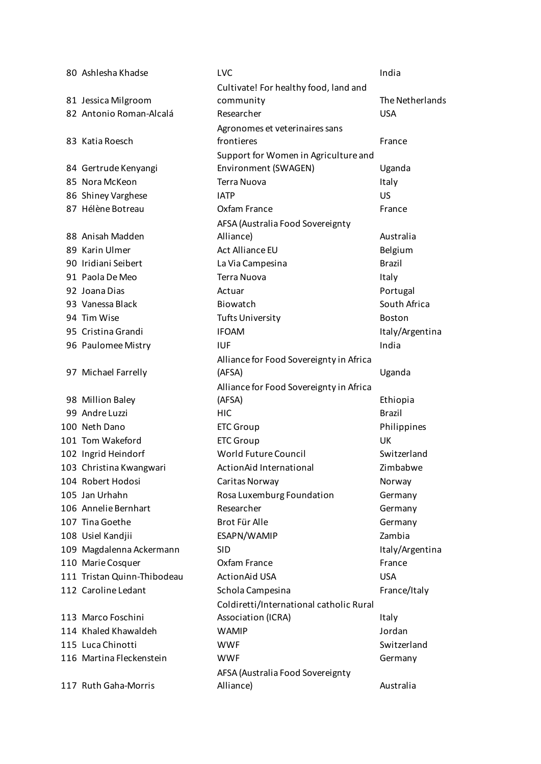| 80 Ashlesha Khadse          | <b>LVC</b>                              | India           |
|-----------------------------|-----------------------------------------|-----------------|
|                             | Cultivate! For healthy food, land and   |                 |
| 81 Jessica Milgroom         | community                               | The Netherlands |
| 82 Antonio Roman-Alcalá     | Researcher                              | <b>USA</b>      |
|                             | Agronomes et veterinaires sans          |                 |
| 83 Katia Roesch             | frontieres                              | France          |
|                             | Support for Women in Agriculture and    |                 |
| 84 Gertrude Kenyangi        | Environment (SWAGEN)                    | Uganda          |
| 85 Nora McKeon              | <b>Terra Nuova</b>                      | Italy           |
| 86 Shiney Varghese          | <b>IATP</b>                             | <b>US</b>       |
| 87 Hélène Botreau           | Oxfam France                            | France          |
|                             | AFSA (Australia Food Sovereignty        |                 |
| 88 Anisah Madden            | Alliance)                               | Australia       |
| 89 Karin Ulmer              | Act Alliance EU                         | Belgium         |
| 90 Iridiani Seibert         | La Via Campesina                        | <b>Brazil</b>   |
| 91 Paola De Meo             | <b>Terra Nuova</b>                      | Italy           |
| 92 Joana Dias               | Actuar                                  | Portugal        |
| 93 Vanessa Black            | Biowatch                                | South Africa    |
| 94 Tim Wise                 | <b>Tufts University</b>                 | <b>Boston</b>   |
| 95 Cristina Grandi          | <b>IFOAM</b>                            | Italy/Argentina |
| 96 Paulomee Mistry          | <b>IUF</b>                              | India           |
|                             | Alliance for Food Sovereignty in Africa |                 |
| 97 Michael Farrelly         | (AFSA)                                  | Uganda          |
|                             | Alliance for Food Sovereignty in Africa |                 |
| 98 Million Baley            | (AFSA)                                  | Ethiopia        |
| 99 Andre Luzzi              | <b>HIC</b>                              | <b>Brazil</b>   |
| 100 Neth Dano               | <b>ETC Group</b>                        | Philippines     |
| 101 Tom Wakeford            | <b>ETC Group</b>                        | UK              |
| 102 Ingrid Heindorf         | World Future Council                    | Switzerland     |
| 103 Christina Kwangwari     | ActionAid International                 | Zimbabwe        |
| 104 Robert Hodosi           | Caritas Norway                          | Norway          |
| 105 Jan Urhahn              | Rosa Luxemburg Foundation               | Germany         |
| 106 Annelie Bernhart        | Researcher                              | Germany         |
| 107 Tina Goethe             | Brot Für Alle                           | Germany         |
| 108 Usiel Kandjii           | ESAPN/WAMIP                             | Zambia          |
| 109 Magdalenna Ackermann    | <b>SID</b>                              | Italy/Argentina |
| 110 Marie Cosquer           | Oxfam France                            | France          |
| 111 Tristan Quinn-Thibodeau | <b>ActionAid USA</b>                    | <b>USA</b>      |
| 112 Caroline Ledant         | Schola Campesina                        | France/Italy    |
|                             | Coldiretti/International catholic Rural |                 |
| 113 Marco Foschini          | Association (ICRA)                      | Italy           |
| 114 Khaled Khawaldeh        | <b>WAMIP</b>                            | Jordan          |
| 115 Luca Chinotti           | <b>WWF</b>                              | Switzerland     |
| 116 Martina Fleckenstein    | <b>WWF</b>                              | Germany         |
|                             | AFSA (Australia Food Sovereignty        |                 |
| 117 Ruth Gaha-Morris        | Alliance)                               | Australia       |